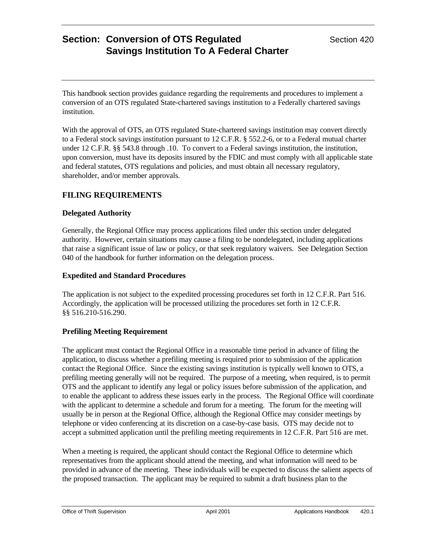This handbook section provides guidance regarding the requirements and procedures to implement a conversion of an OTS regulated State-chartered savings institution to a Federally chartered savings institution.

With the approval of OTS, an OTS regulated State-chartered savings institution may convert directly to a Federal stock savings institution pursuant to 12 C.F.R. § 552.2-6, or to a Federal mutual charter under 12 C.F.R. §§ 543.8 through .10. To convert to a Federal savings institution, the institution, upon conversion, must have its deposits insured by the FDIC and must comply with all applicable state and federal statutes, OTS regulations and policies, and must obtain all necessary regulatory, shareholder, and/or member approvals.

## **FILING REQUIREMENTS**

### **Delegated Authority**

Generally, the Regional Office may process applications filed under this section under delegated authority. However, certain situations may cause a filing to be nondelegated, including applications that raise a significant issue of law or policy, or that seek regulatory waivers. See Delegation Section 040 of the handbook for further information on the delegation process.

#### **Expedited and Standard Procedures**

The application is not subject to the expedited processing procedures set forth in 12 C.F.R. Part 516. Accordingly, the application will be processed utilizing the procedures set forth in 12 C.F.R. §§ 516.210-516.290.

### **Prefiling Meeting Requirement**

The applicant must contact the Regional Office in a reasonable time period in advance of filing the application, to discuss whether a prefiling meeting is required prior to submission of the application contact the Regional Office. Since the existing savings institution is typically well known to OTS, a prefiling meeting generally will not be required. The purpose of a meeting, when required, is to permit OTS and the applicant to identify any legal or policy issues before submission of the application, and to enable the applicant to address these issues early in the process. The Regional Office will coordinate with the applicant to determine a schedule and forum for a meeting. The forum for the meeting will usually be in person at the Regional Office, although the Regional Office may consider meetings by telephone or video conferencing at its discretion on a case-by-case basis. OTS may decide not to accept a submitted application until the prefiling meeting requirements in 12 C.F.R. Part 516 are met.

When a meeting is required, the applicant should contact the Regional Office to determine which representatives from the applicant should attend the meeting, and what information will need to be provided in advance of the meeting. These individuals will be expected to discuss the salient aspects of the proposed transaction. The applicant may be required to submit a draft business plan to the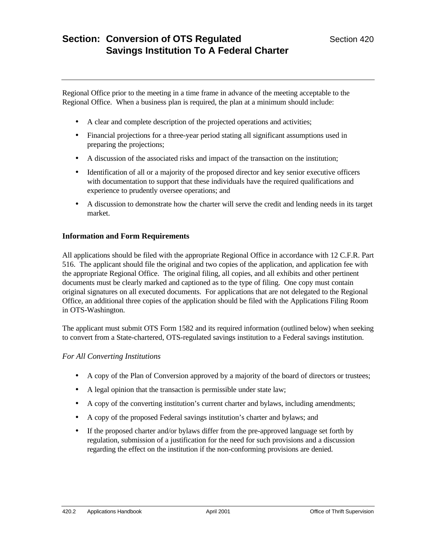Regional Office prior to the meeting in a time frame in advance of the meeting acceptable to the Regional Office. When a business plan is required, the plan at a minimum should include:

- A clear and complete description of the projected operations and activities;
- Financial projections for a three-year period stating all significant assumptions used in preparing the projections;
- A discussion of the associated risks and impact of the transaction on the institution;
- Identification of all or a majority of the proposed director and key senior executive officers with documentation to support that these individuals have the required qualifications and experience to prudently oversee operations; and
- A discussion to demonstrate how the charter will serve the credit and lending needs in its target market.

### **Information and Form Requirements**

All applications should be filed with the appropriate Regional Office in accordance with 12 C.F.R. Part 516. The applicant should file the original and two copies of the application, and application fee with the appropriate Regional Office. The original filing, all copies, and all exhibits and other pertinent documents must be clearly marked and captioned as to the type of filing. One copy must contain original signatures on all executed documents. For applications that are not delegated to the Regional Office, an additional three copies of the application should be filed with the Applications Filing Room in OTS-Washington.

The applicant must submit OTS Form 1582 and its required information (outlined below) when seeking to convert from a State-chartered, OTS-regulated savings institution to a Federal savings institution.

#### *For All Converting Institutions*

- A copy of the Plan of Conversion approved by a majority of the board of directors or trustees;
- A legal opinion that the transaction is permissible under state law;
- A copy of the converting institution's current charter and bylaws, including amendments;
- A copy of the proposed Federal savings institution's charter and bylaws; and
- If the proposed charter and/or bylaws differ from the pre-approved language set forth by regulation, submission of a justification for the need for such provisions and a discussion regarding the effect on the institution if the non-conforming provisions are denied.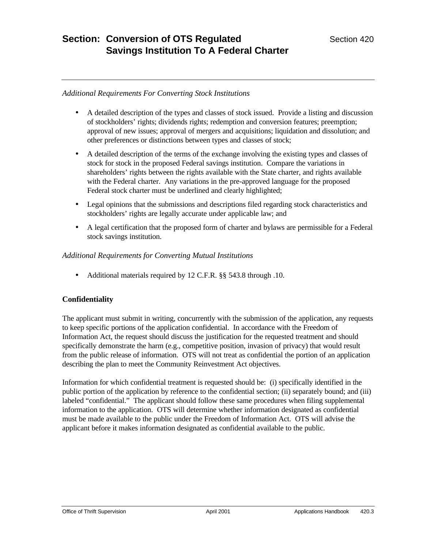### *Additional Requirements For Converting Stock Institutions*

- A detailed description of the types and classes of stock issued. Provide a listing and discussion of stockholders' rights; dividends rights; redemption and conversion features; preemption; approval of new issues; approval of mergers and acquisitions; liquidation and dissolution; and other preferences or distinctions between types and classes of stock;
- A detailed description of the terms of the exchange involving the existing types and classes of stock for stock in the proposed Federal savings institution. Compare the variations in shareholders' rights between the rights available with the State charter, and rights available with the Federal charter. Any variations in the pre-approved language for the proposed Federal stock charter must be underlined and clearly highlighted;
- Legal opinions that the submissions and descriptions filed regarding stock characteristics and stockholders' rights are legally accurate under applicable law; and
- A legal certification that the proposed form of charter and bylaws are permissible for a Federal stock savings institution.

### *Additional Requirements for Converting Mutual Institutions*

• Additional materials required by 12 C.F.R. §§ 543.8 through .10.

### **Confidentiality**

The applicant must submit in writing, concurrently with the submission of the application, any requests to keep specific portions of the application confidential. In accordance with the Freedom of Information Act, the request should discuss the justification for the requested treatment and should specifically demonstrate the harm (e.g., competitive position, invasion of privacy) that would result from the public release of information. OTS will not treat as confidential the portion of an application describing the plan to meet the Community Reinvestment Act objectives.

Information for which confidential treatment is requested should be: (i) specifically identified in the public portion of the application by reference to the confidential section; (ii) separately bound; and (iii) labeled "confidential." The applicant should follow these same procedures when filing supplemental information to the application. OTS will determine whether information designated as confidential must be made available to the public under the Freedom of Information Act. OTS will advise the applicant before it makes information designated as confidential available to the public.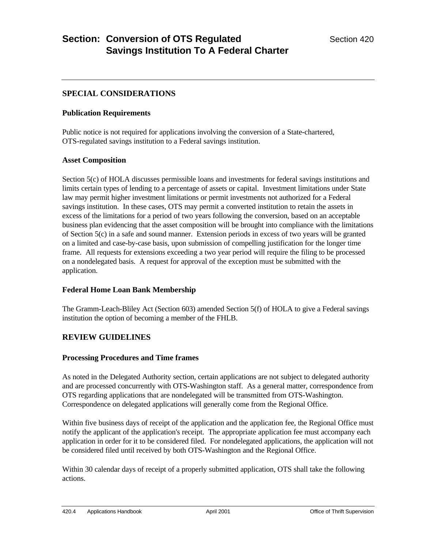## **SPECIAL CONSIDERATIONS**

#### **Publication Requirements**

Public notice is not required for applications involving the conversion of a State-chartered, OTS-regulated savings institution to a Federal savings institution.

#### **Asset Composition**

Section 5(c) of HOLA discusses permissible loans and investments for federal savings institutions and limits certain types of lending to a percentage of assets or capital. Investment limitations under State law may permit higher investment limitations or permit investments not authorized for a Federal savings institution. In these cases, OTS may permit a converted institution to retain the assets in excess of the limitations for a period of two years following the conversion, based on an acceptable business plan evidencing that the asset composition will be brought into compliance with the limitations of Section 5(c) in a safe and sound manner. Extension periods in excess of two years will be granted on a limited and case-by-case basis, upon submission of compelling justification for the longer time frame. All requests for extensions exceeding a two year period will require the filing to be processed on a nondelegated basis. A request for approval of the exception must be submitted with the application.

#### **Federal Home Loan Bank Membership**

The Gramm-Leach-Bliley Act (Section 603) amended Section 5(f) of HOLA to give a Federal savings institution the option of becoming a member of the FHLB.

## **REVIEW GUIDELINES**

### **Processing Procedures and Time frames**

As noted in the Delegated Authority section, certain applications are not subject to delegated authority and are processed concurrently with OTS-Washington staff. As a general matter, correspondence from OTS regarding applications that are nondelegated will be transmitted from OTS-Washington. Correspondence on delegated applications will generally come from the Regional Office.

Within five business days of receipt of the application and the application fee, the Regional Office must notify the applicant of the application's receipt. The appropriate application fee must accompany each application in order for it to be considered filed. For nondelegated applications, the application will not be considered filed until received by both OTS-Washington and the Regional Office.

Within 30 calendar days of receipt of a properly submitted application, OTS shall take the following actions.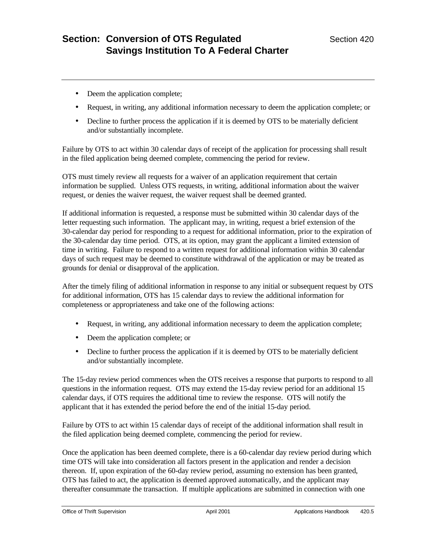- Deem the application complete;
- Request, in writing, any additional information necessary to deem the application complete; or
- Decline to further process the application if it is deemed by OTS to be materially deficient and/or substantially incomplete.

Failure by OTS to act within 30 calendar days of receipt of the application for processing shall result in the filed application being deemed complete, commencing the period for review.

OTS must timely review all requests for a waiver of an application requirement that certain information be supplied. Unless OTS requests, in writing, additional information about the waiver request, or denies the waiver request, the waiver request shall be deemed granted.

If additional information is requested, a response must be submitted within 30 calendar days of the letter requesting such information. The applicant may, in writing, request a brief extension of the 30-calendar day period for responding to a request for additional information, prior to the expiration of the 30-calendar day time period. OTS, at its option, may grant the applicant a limited extension of time in writing. Failure to respond to a written request for additional information within 30 calendar days of such request may be deemed to constitute withdrawal of the application or may be treated as grounds for denial or disapproval of the application.

After the timely filing of additional information in response to any initial or subsequent request by OTS for additional information, OTS has 15 calendar days to review the additional information for completeness or appropriateness and take one of the following actions:

- Request, in writing, any additional information necessary to deem the application complete;
- Deem the application complete; or
- Decline to further process the application if it is deemed by OTS to be materially deficient and/or substantially incomplete.

The 15-day review period commences when the OTS receives a response that purports to respond to all questions in the information request. OTS may extend the 15-day review period for an additional 15 calendar days, if OTS requires the additional time to review the response. OTS will notify the applicant that it has extended the period before the end of the initial 15-day period.

Failure by OTS to act within 15 calendar days of receipt of the additional information shall result in the filed application being deemed complete, commencing the period for review.

Once the application has been deemed complete, there is a 60-calendar day review period during which time OTS will take into consideration all factors present in the application and render a decision thereon. If, upon expiration of the 60-day review period, assuming no extension has been granted, OTS has failed to act, the application is deemed approved automatically, and the applicant may thereafter consummate the transaction. If multiple applications are submitted in connection with one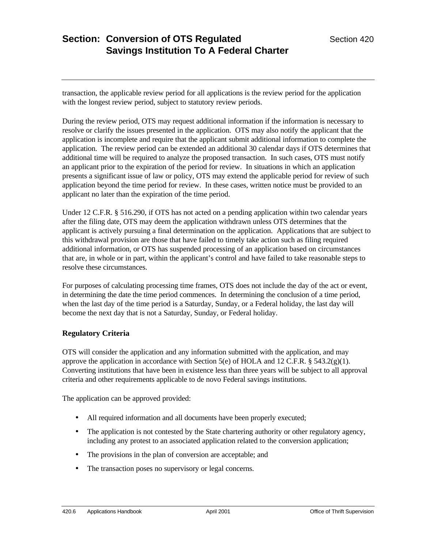transaction, the applicable review period for all applications is the review period for the application with the longest review period, subject to statutory review periods.

During the review period, OTS may request additional information if the information is necessary to resolve or clarify the issues presented in the application. OTS may also notify the applicant that the application is incomplete and require that the applicant submit additional information to complete the application. The review period can be extended an additional 30 calendar days if OTS determines that additional time will be required to analyze the proposed transaction. In such cases, OTS must notify an applicant prior to the expiration of the period for review. In situations in which an application presents a significant issue of law or policy, OTS may extend the applicable period for review of such application beyond the time period for review. In these cases, written notice must be provided to an applicant no later than the expiration of the time period.

Under 12 C.F.R. § 516.290, if OTS has not acted on a pending application within two calendar years after the filing date, OTS may deem the application withdrawn unless OTS determines that the applicant is actively pursuing a final determination on the application. Applications that are subject to this withdrawal provision are those that have failed to timely take action such as filing required additional information, or OTS has suspended processing of an application based on circumstances that are, in whole or in part, within the applicant's control and have failed to take reasonable steps to resolve these circumstances.

For purposes of calculating processing time frames, OTS does not include the day of the act or event, in determining the date the time period commences. In determining the conclusion of a time period, when the last day of the time period is a Saturday, Sunday, or a Federal holiday, the last day will become the next day that is not a Saturday, Sunday, or Federal holiday.

### **Regulatory Criteria**

OTS will consider the application and any information submitted with the application, and may approve the application in accordance with Section 5(e) of HOLA and 12 C.F.R.  $\S$  543.2(g)(1). Converting institutions that have been in existence less than three years will be subject to all approval criteria and other requirements applicable to de novo Federal savings institutions.

The application can be approved provided:

- All required information and all documents have been properly executed;
- The application is not contested by the State chartering authority or other regulatory agency, including any protest to an associated application related to the conversion application;
- The provisions in the plan of conversion are acceptable; and
- The transaction poses no supervisory or legal concerns.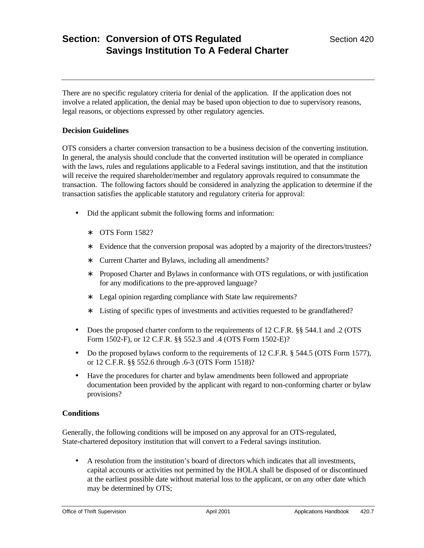There are no specific regulatory criteria for denial of the application. If the application does not involve a related application, the denial may be based upon objection to due to supervisory reasons, legal reasons, or objections expressed by other regulatory agencies.

### **Decision Guidelines**

OTS considers a charter conversion transaction to be a business decision of the converting institution. In general, the analysis should conclude that the converted institution will be operated in compliance with the laws, rules and regulations applicable to a Federal savings institution, and that the institution will receive the required shareholder/member and regulatory approvals required to consummate the transaction. The following factors should be considered in analyzing the application to determine if the transaction satisfies the applicable statutory and regulatory criteria for approval:

- Did the applicant submit the following forms and information:
	- ∗ OTS Form 1582?
	- ∗ Evidence that the conversion proposal was adopted by a majority of the directors/trustees?
	- ∗ Current Charter and Bylaws, including all amendments?
	- ∗ Proposed Charter and Bylaws in conformance with OTS regulations, or with justification for any modifications to the pre-approved language?
	- ∗ Legal opinion regarding compliance with State law requirements?
	- ∗ Listing of specific types of investments and activities requested to be grandfathered?
- Does the proposed charter conform to the requirements of 12 C.F.R. §§ 544.1 and .2 (OTS Form 1502-F), or 12 C.F.R. §§ 552.3 and .4 (OTS Form 1502-E)?
- Do the proposed bylaws conform to the requirements of 12 C.F.R. § 544.5 (OTS Form 1577), or 12 C.F.R. §§ 552.6 through .6-3 (OTS Form 1518)?
- Have the procedures for charter and bylaw amendments been followed and appropriate documentation been provided by the applicant with regard to non-conforming charter or bylaw provisions?

#### **Conditions**

Generally, the following conditions will be imposed on any approval for an OTS-regulated, State-chartered depository institution that will convert to a Federal savings institution.

• A resolution from the institution's board of directors which indicates that all investments, capital accounts or activities not permitted by the HOLA shall be disposed of or discontinued at the earliest possible date without material loss to the applicant, or on any other date which may be determined by OTS;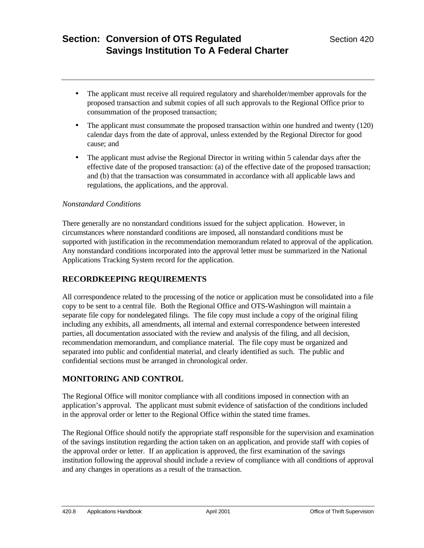- The applicant must receive all required regulatory and shareholder/member approvals for the proposed transaction and submit copies of all such approvals to the Regional Office prior to consummation of the proposed transaction;
- The applicant must consummate the proposed transaction within one hundred and twenty (120) calendar days from the date of approval, unless extended by the Regional Director for good cause; and
- The applicant must advise the Regional Director in writing within 5 calendar days after the effective date of the proposed transaction: (a) of the effective date of the proposed transaction; and (b) that the transaction was consummated in accordance with all applicable laws and regulations, the applications, and the approval.

### *Nonstandard Conditions*

There generally are no nonstandard conditions issued for the subject application. However, in circumstances where nonstandard conditions are imposed, all nonstandard conditions must be supported with justification in the recommendation memorandum related to approval of the application. Any nonstandard conditions incorporated into the approval letter must be summarized in the National Applications Tracking System record for the application.

### **RECORDKEEPING REQUIREMENTS**

All correspondence related to the processing of the notice or application must be consolidated into a file copy to be sent to a central file. Both the Regional Office and OTS-Washington will maintain a separate file copy for nondelegated filings. The file copy must include a copy of the original filing including any exhibits, all amendments, all internal and external correspondence between interested parties, all documentation associated with the review and analysis of the filing, and all decision, recommendation memorandum, and compliance material. The file copy must be organized and separated into public and confidential material, and clearly identified as such. The public and confidential sections must be arranged in chronological order.

## **MONITORING AND CONTROL**

The Regional Office will monitor compliance with all conditions imposed in connection with an application's approval. The applicant must submit evidence of satisfaction of the conditions included in the approval order or letter to the Regional Office within the stated time frames.

The Regional Office should notify the appropriate staff responsible for the supervision and examination of the savings institution regarding the action taken on an application, and provide staff with copies of the approval order or letter. If an application is approved, the first examination of the savings institution following the approval should include a review of compliance with all conditions of approval and any changes in operations as a result of the transaction.